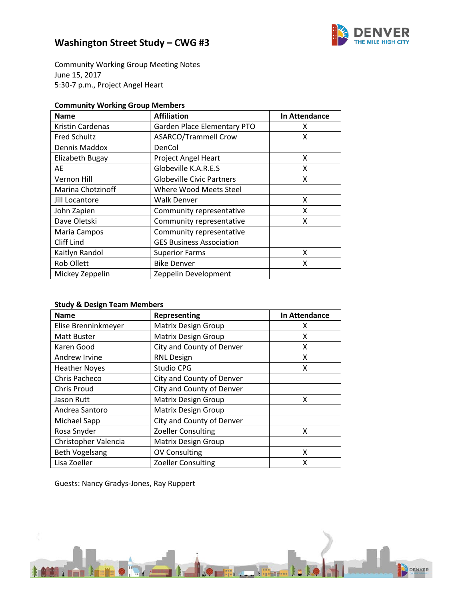

Community Working Group Meeting Notes June 15, 2017 5:30-7 p.m., Project Angel Heart

| <b>Community Working Group Members</b> |  |  |  |
|----------------------------------------|--|--|--|
|----------------------------------------|--|--|--|

| <b>Name</b>              | <b>Affiliation</b>               | In Attendance |
|--------------------------|----------------------------------|---------------|
| <b>Kristin Cardenas</b>  | Garden Place Elementary PTO      | x             |
| <b>Fred Schultz</b>      | <b>ASARCO/Trammell Crow</b>      | x             |
| Dennis Maddox            | DenCol                           |               |
| Elizabeth Bugay          | Project Angel Heart              | x             |
| AE                       | Globeville K.A.R.E.S             | x             |
| Vernon Hill              | <b>Globeville Civic Partners</b> | x             |
| <b>Marina Chotzinoff</b> | Where Wood Meets Steel           |               |
| Jill Locantore           | Walk Denver                      | x             |
| John Zapien              | Community representative         | x             |
| Dave Oletski             | Community representative         | x             |
| Maria Campos             | Community representative         |               |
| Cliff Lind               | <b>GES Business Association</b>  |               |
| Kaitlyn Randol           | <b>Superior Farms</b>            | x             |
| Rob Ollett               | <b>Bike Denver</b>               | x             |
| Mickey Zeppelin          | Zeppelin Development             |               |

### **Study & Design Team Members**

| <b>Name</b>           | <b>Representing</b>        | In Attendance |
|-----------------------|----------------------------|---------------|
| Elise Brenninkmeyer   | <b>Matrix Design Group</b> | х             |
| Matt Buster           | <b>Matrix Design Group</b> | x             |
| Karen Good            | City and County of Denver  | x             |
| Andrew Irvine         | <b>RNL Design</b>          | χ             |
| <b>Heather Noyes</b>  | Studio CPG                 | x             |
| Chris Pacheco         | City and County of Denver  |               |
| <b>Chris Proud</b>    | City and County of Denver  |               |
| Jason Rutt            | <b>Matrix Design Group</b> | х             |
| Andrea Santoro        | <b>Matrix Design Group</b> |               |
| Michael Sapp          | City and County of Denver  |               |
| Rosa Snyder           | <b>Zoeller Consulting</b>  | x             |
| Christopher Valencia  | <b>Matrix Design Group</b> |               |
| <b>Beth Vogelsang</b> | <b>OV Consulting</b>       | x             |
| Lisa Zoeller          | <b>Zoeller Consulting</b>  | Χ             |

Guests: Nancy Gradys-Jones, Ray Ruppert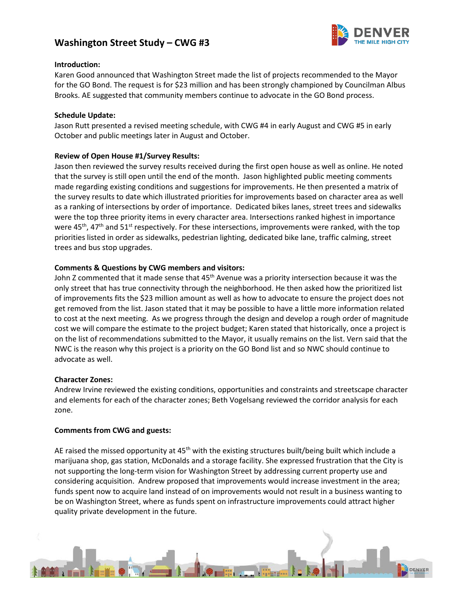

#### **Introduction:**

Karen Good announced that Washington Street made the list of projects recommended to the Mayor for the GO Bond. The request is for \$23 million and has been strongly championed by Councilman Albus Brooks. AE suggested that community members continue to advocate in the GO Bond process.

#### **Schedule Update:**

Jason Rutt presented a revised meeting schedule, with CWG #4 in early August and CWG #5 in early October and public meetings later in August and October.

#### **Review of Open House #1/Survey Results:**

Jason then reviewed the survey results received during the first open house as well as online. He noted that the survey is still open until the end of the month. Jason highlighted public meeting comments made regarding existing conditions and suggestions for improvements. He then presented a matrix of the survey results to date which illustrated priorities for improvements based on character area as well as a ranking of intersections by order of importance. Dedicated bikes lanes, street trees and sidewalks were the top three priority items in every character area. Intersections ranked highest in importance were 45<sup>th</sup>, 47<sup>th</sup> and 51<sup>st</sup> respectively. For these intersections, improvements were ranked, with the top priorities listed in order as sidewalks, pedestrian lighting, dedicated bike lane, traffic calming, street trees and bus stop upgrades.

#### **Comments & Questions by CWG members and visitors:**

John Z commented that it made sense that 45<sup>th</sup> Avenue was a priority intersection because it was the only street that has true connectivity through the neighborhood. He then asked how the prioritized list of improvements fits the \$23 million amount as well as how to advocate to ensure the project does not get removed from the list. Jason stated that it may be possible to have a little more information related to cost at the next meeting. As we progress through the design and develop a rough order of magnitude cost we will compare the estimate to the project budget; Karen stated that historically, once a project is on the list of recommendations submitted to the Mayor, it usually remains on the list. Vern said that the NWC is the reason why this project is a priority on the GO Bond list and so NWC should continue to advocate as well.

#### **Character Zones:**

Andrew Irvine reviewed the existing conditions, opportunities and constraints and streetscape character and elements for each of the character zones; Beth Vogelsang reviewed the corridor analysis for each zone.

#### **Comments from CWG and guests:**

AE raised the missed opportunity at 45<sup>th</sup> with the existing structures built/being built which include a marijuana shop, gas station, McDonalds and a storage facility. She expressed frustration that the City is not supporting the long-term vision for Washington Street by addressing current property use and considering acquisition. Andrew proposed that improvements would increase investment in the area; funds spent now to acquire land instead of on improvements would not result in a business wanting to be on Washington Street, where as funds spent on infrastructure improvements could attract higher quality private development in the future.

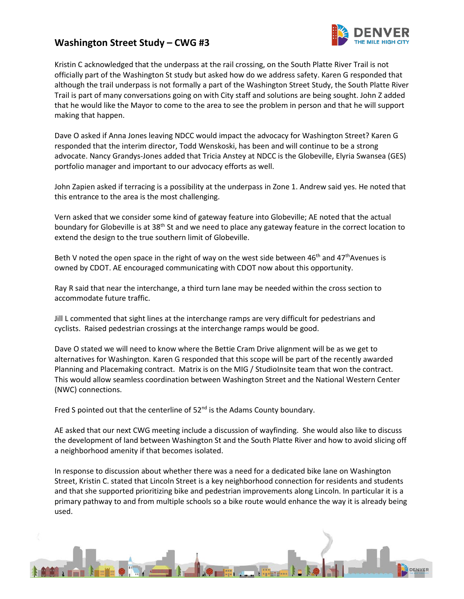

Kristin C acknowledged that the underpass at the rail crossing, on the South Platte River Trail is not officially part of the Washington St study but asked how do we address safety. Karen G responded that although the trail underpass is not formally a part of the Washington Street Study, the South Platte River Trail is part of many conversations going on with City staff and solutions are being sought. John Z added that he would like the Mayor to come to the area to see the problem in person and that he will support making that happen.

Dave O asked if Anna Jones leaving NDCC would impact the advocacy for Washington Street? Karen G responded that the interim director, Todd Wenskoski, has been and will continue to be a strong advocate. Nancy Grandys-Jones added that Tricia Anstey at NDCC is the Globeville, Elyria Swansea (GES) portfolio manager and important to our advocacy efforts as well.

John Zapien asked if terracing is a possibility at the underpass in Zone 1. Andrew said yes. He noted that this entrance to the area is the most challenging.

Vern asked that we consider some kind of gateway feature into Globeville; AE noted that the actual boundary for Globeville is at  $38<sup>th</sup>$  St and we need to place any gateway feature in the correct location to extend the design to the true southern limit of Globeville.

Beth V noted the open space in the right of way on the west side between 46<sup>th</sup> and 47<sup>th</sup>Avenues is owned by CDOT. AE encouraged communicating with CDOT now about this opportunity.

Ray R said that near the interchange, a third turn lane may be needed within the cross section to accommodate future traffic.

Jill L commented that sight lines at the interchange ramps are very difficult for pedestrians and cyclists. Raised pedestrian crossings at the interchange ramps would be good.

Dave O stated we will need to know where the Bettie Cram Drive alignment will be as we get to alternatives for Washington. Karen G responded that this scope will be part of the recently awarded Planning and Placemaking contract. Matrix is on the MIG / StudioInsite team that won the contract. This would allow seamless coordination between Washington Street and the National Western Center (NWC) connections.

Fred S pointed out that the centerline of  $52<sup>nd</sup>$  is the Adams County boundary.

AE asked that our next CWG meeting include a discussion of wayfinding. She would also like to discuss the development of land between Washington St and the South Platte River and how to avoid slicing off a neighborhood amenity if that becomes isolated.

In response to discussion about whether there was a need for a dedicated bike lane on Washington Street, Kristin C. stated that Lincoln Street is a key neighborhood connection for residents and students and that she supported prioritizing bike and pedestrian improvements along Lincoln. In particular it is a primary pathway to and from multiple schools so a bike route would enhance the way it is already being used.